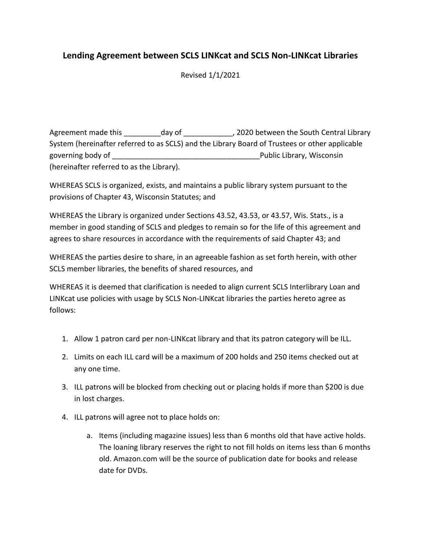## **Lending Agreement between SCLS LINKcat and SCLS Non-LINKcat Libraries**

Revised 1/1/2021

Agreement made this day of the south Central Library and the South Central Library System (hereinafter referred to as SCLS) and the Library Board of Trustees or other applicable governing body of \_\_\_\_\_\_\_\_\_\_\_\_\_\_\_\_\_\_\_\_\_\_\_\_\_\_\_\_\_\_\_\_\_\_\_\_Public Library, Wisconsin (hereinafter referred to as the Library).

WHEREAS SCLS is organized, exists, and maintains a public library system pursuant to the provisions of Chapter 43, Wisconsin Statutes; and

WHEREAS the Library is organized under Sections 43.52, 43.53, or 43.57, Wis. Stats., is a member in good standing of SCLS and pledges to remain so for the life of this agreement and agrees to share resources in accordance with the requirements of said Chapter 43; and

WHEREAS the parties desire to share, in an agreeable fashion as set forth herein, with other SCLS member libraries, the benefits of shared resources, and

WHEREAS it is deemed that clarification is needed to align current SCLS Interlibrary Loan and LINKcat use policies with usage by SCLS Non-LINKcat libraries the parties hereto agree as follows:

- 1. Allow 1 patron card per non-LINKcat library and that its patron category will be ILL.
- 2. Limits on each ILL card will be a maximum of 200 holds and 250 items checked out at any one time.
- 3. ILL patrons will be blocked from checking out or placing holds if more than \$200 is due in lost charges.
- 4. ILL patrons will agree not to place holds on:
	- a. Items (including magazine issues) less than 6 months old that have active holds. The loaning library reserves the right to not fill holds on items less than 6 months old. Amazon.com will be the source of publication date for books and release date for DVDs.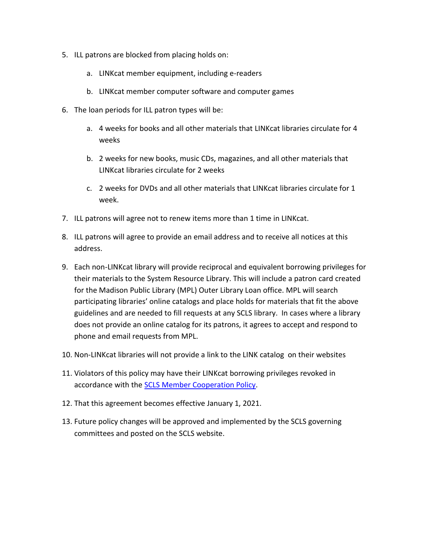- 5. ILL patrons are blocked from placing holds on:
	- a. LINKcat member equipment, including e-readers
	- b. LINKcat member computer software and computer games
- 6. The loan periods for ILL patron types will be:
	- a. 4 weeks for books and all other materials that LINKcat libraries circulate for 4 weeks
	- b. 2 weeks for new books, music CDs, magazines, and all other materials that LINKcat libraries circulate for 2 weeks
	- c. 2 weeks for DVDs and all other materials that LINKcat libraries circulate for 1 week.
- 7. ILL patrons will agree not to renew items more than 1 time in LINKcat.
- 8. ILL patrons will agree to provide an email address and to receive all notices at this address.
- 9. Each non-LINKcat library will provide reciprocal and equivalent borrowing privileges for their materials to the System Resource Library. This will include a patron card created for the Madison Public Library (MPL) Outer Library Loan office. MPL will search participating libraries' online catalogs and place holds for materials that fit the above guidelines and are needed to fill requests at any SCLS library. In cases where a library does not provide an online catalog for its patrons, it agrees to accept and respond to phone and email requests from MPL.
- 10. Non-LINKcat libraries will not provide a link to the LINK catalog on their websites
- 11. Violators of this policy may have their LINKcat borrowing privileges revoked in accordance with the [SCLS Member Cooperation Policy.](http://www.scls.info/committees/ac/SCLSmembercooperationPolicy.htm)
- 12. That this agreement becomes effective January 1, 2021.
- 13. Future policy changes will be approved and implemented by the SCLS governing committees and posted on the SCLS website.